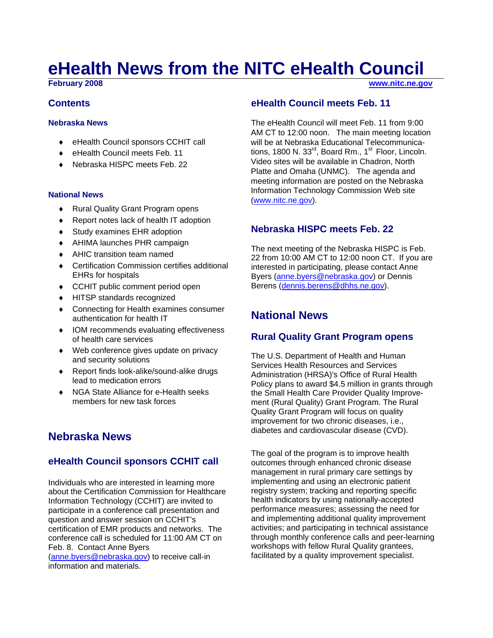# **eHealth News from the NITC eHealth Council**

**February 2008 [www.nitc.ne.gov](http://www.nitc.ne.gov/)**

#### **Contents**

#### **Nebraska News**

- ♦ eHealth Council sponsors CCHIT call
- ♦ eHealth Council meets Feb. 11
- Nebraska HISPC meets Feb. 22

#### **National News**

- ♦ Rural Quality Grant Program opens
- ♦ Report notes lack of health IT adoption
- ♦ Study examines EHR adoption
- ♦ AHIMA launches PHR campaign
- ♦ AHIC transition team named
- ♦ Certification Commission certifies additional EHRs for hospitals
- ♦ CCHIT public comment period open
- ♦ HITSP standards recognized
- ♦ Connecting for Health examines consumer authentication for health IT
- ♦ IOM recommends evaluating effectiveness of health care services
- ♦ Web conference gives update on privacy and security solutions
- ♦ Report finds look-alike/sound-alike drugs lead to medication errors
- NGA State Alliance for e-Health seeks members for new task forces

# **Nebraska News**

## **eHealth Council sponsors CCHIT call**

Individuals who are interested in learning more about the Certification Commission for Healthcare Information Technology (CCHIT) are invited to participate in a conference call presentation and question and answer session on CCHIT's certification of EMR products and networks. The conference call is scheduled for 11:00 AM CT on Feb. 8. Contact Anne Byers [\(anne.byers@nebraska.gov](mailto:anne.byers@nebraska.gov)) to receive call-in information and materials.

#### **eHealth Council meets Feb. 11**

The eHealth Council will meet Feb. 11 from 9:00 AM CT to 12:00 noon. The main meeting location will be at Nebraska Educational Telecommunications, 1800 N.  $33^{\text{rd}}$ , Board Rm., 1<sup>st</sup> Floor, Lincoln. Video sites will be available in Chadron, North Platte and Omaha (UNMC). The agenda and meeting information are posted on the Nebraska Information Technology Commission Web site [\(www.nitc.ne.gov\)](http://www.nitc.ne.gov/).

#### **Nebraska HISPC meets Feb. 22**

The next meeting of the Nebraska HISPC is Feb. 22 from 10:00 AM CT to 12:00 noon CT. If you are interested in participating, please contact Anne Byers ([anne.byers@nebraska.gov](mailto:anne.byers@nebraska.gov)) or Dennis Berens ([dennis.berens@dhhs.ne.gov](mailto:dennis.berens@dhhs.ne.gov)).

# **National News**

## **Rural Quality Grant Program opens**

The U.S. Department of Health and Human Services Health Resources and Services Administration (HRSA)'s Office of Rural Health Policy plans to award \$4.5 million in grants through the Small Health Care Provider Quality Improvement (Rural Quality) Grant Program. The Rural Quality Grant Program will focus on quality improvement for two chronic diseases, i.e., diabetes and cardiovascular disease (CVD).

The goal of the program is to improve health outcomes through enhanced chronic disease management in rural primary care settings by implementing and using an electronic patient registry system; tracking and reporting specific health indicators by using nationally-accepted performance measures; assessing the need for and implementing additional quality improvement activities; and participating in technical assistance through monthly conference calls and peer-learning workshops with fellow Rural Quality grantees, facilitated by a quality improvement specialist.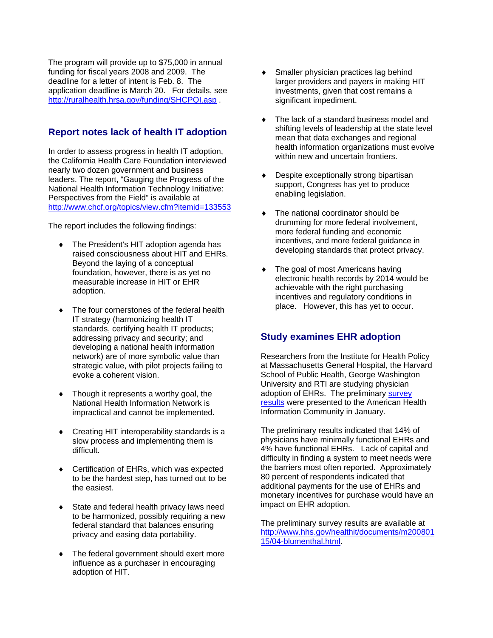The program will provide up to \$75,000 in annual funding for fiscal years 2008 and 2009. The deadline for a letter of intent is Feb. 8. The application deadline is March 20. For details, see <http://ruralhealth.hrsa.gov/funding/SHCPQI.asp> .

## **Report notes lack of health IT adoption**

In order to assess progress in health IT adoption, the California Health Care Foundation interviewed nearly two dozen government and business leaders. The report, "Gauging the Progress of the National Health Information Technology Initiative: Perspectives from the Field" is available at <http://www.chcf.org/topics/view.cfm?itemid=133553>

The report includes the following findings:

- ♦ The President's HIT adoption agenda has raised consciousness about HIT and EHRs. Beyond the laying of a conceptual foundation, however, there is as yet no measurable increase in HIT or EHR adoption.
- ♦ The four cornerstones of the federal health IT strategy (harmonizing health IT standards, certifying health IT products; addressing privacy and security; and developing a national health information network) are of more symbolic value than strategic value, with pilot projects failing to evoke a coherent vision.
- Though it represents a worthy goal, the National Health Information Network is impractical and cannot be implemented.
- ♦ Creating HIT interoperability standards is a slow process and implementing them is difficult.
- ♦ Certification of EHRs, which was expected to be the hardest step, has turned out to be the easiest.
- State and federal health privacy laws need to be harmonized, possibly requiring a new federal standard that balances ensuring privacy and easing data portability.
- The federal government should exert more influence as a purchaser in encouraging adoption of HIT.
- Smaller physician practices lag behind larger providers and payers in making HIT investments, given that cost remains a significant impediment.
- The lack of a standard business model and shifting levels of leadership at the state level mean that data exchanges and regional health information organizations must evolve within new and uncertain frontiers.
- Despite exceptionally strong bipartisan support, Congress has yet to produce enabling legislation.
- The national coordinator should be drumming for more federal involvement, more federal funding and economic incentives, and more federal guidance in developing standards that protect privacy.
- The goal of most Americans having electronic health records by 2014 would be achievable with the right purchasing incentives and regulatory conditions in place. However, this has yet to occur.

## **Study examines EHR adoption**

Researchers from the Institute for Health Policy at Massachusetts General Hospital, the Harvard School of Public Health, George Washington University and RTI are studying physician adoption of EHRs. The preliminary survey [results](http://www.hhs.gov/healthit/documents/m20080115/04-blumenthal.html) were presented to the American Health Information Community in January.

The preliminary results indicated that 14% of physicians have minimally functional EHRs and 4% have functional EHRs. Lack of capital and difficulty in finding a system to meet needs were the barriers most often reported. Approximately 80 percent of respondents indicated that additional payments for the use of EHRs and monetary incentives for purchase would have an impact on EHR adoption.

The preliminary survey results are available at [http://www.hhs.gov/healthit/documents/m200801](http://www.hhs.gov/healthit/documents/m20080115/04-blumenthal.html) [15/04-blumenthal.html.](http://www.hhs.gov/healthit/documents/m20080115/04-blumenthal.html)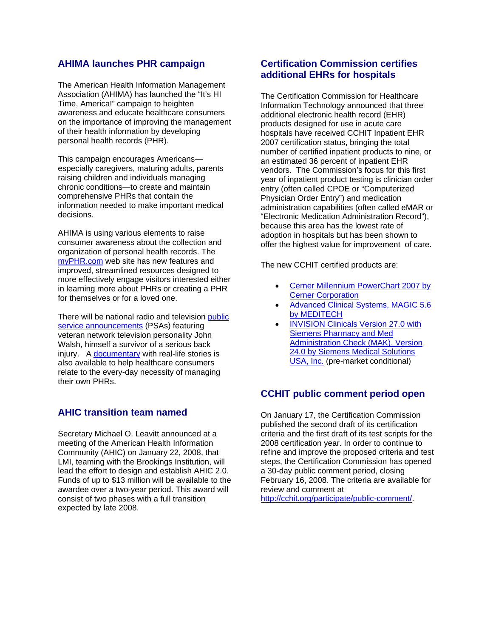#### **AHIMA launches PHR campaign**

The American Health Information Management Association (AHIMA) has launched the "It's HI Time, America!" campaign to heighten awareness and educate healthcare consumers on the importance of improving the management of their health information by developing personal health records (PHR).

This campaign encourages Americans especially caregivers, maturing adults, parents raising children and individuals managing chronic conditions—to create and maintain comprehensive PHRs that contain the information needed to make important medical decisions.

AHIMA is using various elements to raise consumer awareness about the collection and organization of personal health records. The [myPHR.com](http://www.myphr.com/) web site has new features and improved, streamlined resources designed to more effectively engage visitors interested either in learning more about PHRs or creating a PHR for themselves or for a loved one.

There will be national radio and television [public](http://www.myphr.com/)  [service announcements](http://www.myphr.com/) (PSAs) featuring veteran network television personality John Walsh, himself a survivor of a serious back injury. A [documentary](http://www.myphr.com/) with real-life stories is also available to help healthcare consumers relate to the every-day necessity of managing their own PHRs.

#### **AHIC transition team named**

Secretary Michael O. Leavitt announced at a meeting of the American Health Information Community (AHIC) on January 22, 2008, that LMI, teaming with the Brookings Institution, will lead the effort to design and establish AHIC 2.0. Funds of up to \$13 million will be available to the awardee over a two-year period. This award will consist of two phases with a full transition expected by late 2008.

#### **Certification Commission certifies additional EHRs for hospitals**

The Certification Commission for Healthcare Information Technology announced that three additional electronic health record (EHR) products designed for use in acute care hospitals have received CCHIT Inpatient EHR 2007 certification status, bringing the total number of certified inpatient products to nine, or an estimated 36 percent of inpatient EHR vendors. The Commission's focus for this first year of inpatient product testing is clinician order entry (often called CPOE or "Computerized Physician Order Entry") and medication administration capabilities (often called eMAR or "Electronic Medication Administration Record"), because this area has the lowest rate of adoption in hospitals but has been shown to offer the highest value for improvement of care.

The new CCHIT certified products are:

- [Cerner Millennium PowerChart 2007 by](http://www.cchit.org/choose/inpatient/2007/Cerner-Millennium-PowerChart.asp)  [Cerner Corporation](http://www.cchit.org/choose/inpatient/2007/Cerner-Millennium-PowerChart.asp)
- [Advanced Clinical Systems, MAGIC 5.6](http://www.cchit.org/choose/inpatient/2007/MEDITECH-Advanced-Clinical-Systems-MAGIC.asp)  [by MEDITECH](http://www.cchit.org/choose/inpatient/2007/MEDITECH-Advanced-Clinical-Systems-MAGIC.asp)
- [INVISION Clinicals Version 27.0 with](http://www.cchit.org/choose/inpatient/2007/Siemens-INVISION.asp)  [Siemens Pharmacy and Med](http://www.cchit.org/choose/inpatient/2007/Siemens-INVISION.asp)  [Administration Check \(MAK\), Version](http://www.cchit.org/choose/inpatient/2007/Siemens-INVISION.asp)  [24.0 by Siemens Medical Solutions](http://www.cchit.org/choose/inpatient/2007/Siemens-INVISION.asp)  [USA, Inc.](http://www.cchit.org/choose/inpatient/2007/Siemens-INVISION.asp) (pre-market conditional)

#### **CCHIT public comment period open**

On January 17, the Certification Commission published the second draft of its certification criteria and the first draft of its test scripts for the 2008 certification year. In order to continue to refine and improve the proposed criteria and test steps, the Certification Commission has opened a 30-day public comment period, closing February 16, 2008. The criteria are available for review and comment at

[http://cchit.org/participate/public-comment/.](http://cchit.org/participate/public-comment/)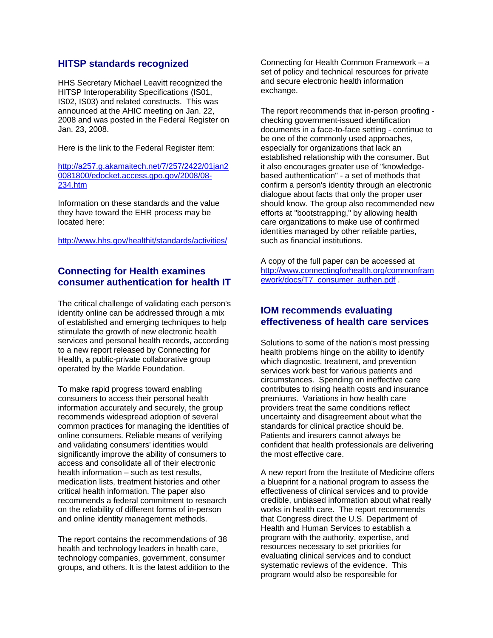#### **HITSP standards recognized**

HHS Secretary Michael Leavitt recognized the HITSP Interoperability Specifications (IS01, IS02, IS03) and related constructs. This was announced at the AHIC meeting on Jan. 22, 2008 and was posted in the Federal Register on Jan. 23, 2008.

Here is the link to the Federal Register item:

[http://a257.g.akamaitech.net/7/257/2422/01jan2](http://a257.g.akamaitech.net/7/257/2422/01jan20081800/edocket.access.gpo.gov/2008/08-234.htm) [0081800/edocket.access.gpo.gov/2008/08-](http://a257.g.akamaitech.net/7/257/2422/01jan20081800/edocket.access.gpo.gov/2008/08-234.htm) [234.htm](http://a257.g.akamaitech.net/7/257/2422/01jan20081800/edocket.access.gpo.gov/2008/08-234.htm)

Information on these standards and the value they have toward the EHR process may be located here:

<http://www.hhs.gov/healthit/standards/activities/>

#### **Connecting for Health examines consumer authentication for health IT**

The critical challenge of validating each person's identity online can be addressed through a mix of established and emerging techniques to help stimulate the growth of new electronic health services and personal health records, according to a new report released by Connecting for Health, a public-private collaborative group operated by the Markle Foundation.

To make rapid progress toward enabling consumers to access their personal health information accurately and securely, the group recommends widespread adoption of several common practices for managing the identities of online consumers. Reliable means of verifying and validating consumers' identities would significantly improve the ability of consumers to access and consolidate all of their electronic health information – such as test results, medication lists, treatment histories and other critical health information. The paper also recommends a federal commitment to research on the reliability of different forms of in-person and online identity management methods.

The report contains the recommendations of 38 health and technology leaders in health care, technology companies, government, consumer groups, and others. It is the latest addition to the Connecting for Health Common Framework – a set of policy and technical resources for private and secure electronic health information exchange.

The report recommends that in-person proofing checking government-issued identification documents in a face-to-face setting - continue to be one of the commonly used approaches, especially for organizations that lack an established relationship with the consumer. But it also encourages greater use of "knowledgebased authentication" - a set of methods that confirm a person's identity through an electronic dialogue about facts that only the proper user should know. The group also recommended new efforts at "bootstrapping," by allowing health care organizations to make use of confirmed identities managed by other reliable parties, such as financial institutions.

A copy of the full paper can be accessed at [http://www.connectingforhealth.org/commonfram](http://www.connectingforhealth.org/commonframework/docs/T7_consumer_authen.pdf) [ework/docs/T7\\_consumer\\_authen.pdf](http://www.connectingforhealth.org/commonframework/docs/T7_consumer_authen.pdf) .

## **IOM recommends evaluating effectiveness of health care services**

Solutions to some of the nation's most pressing health problems hinge on the ability to identify which diagnostic, treatment, and prevention services work best for various patients and circumstances. Spending on ineffective care contributes to rising health costs and insurance premiums. Variations in how health care providers treat the same conditions reflect uncertainty and disagreement about what the standards for clinical practice should be. Patients and insurers cannot always be confident that health professionals are delivering the most effective care.

A new report from the Institute of Medicine offers a blueprint for a national program to assess the effectiveness of clinical services and to provide credible, unbiased information about what really works in health care. The report recommends that Congress direct the U.S. Department of Health and Human Services to establish a program with the authority, expertise, and resources necessary to set priorities for evaluating clinical services and to conduct systematic reviews of the evidence. This program would also be responsible for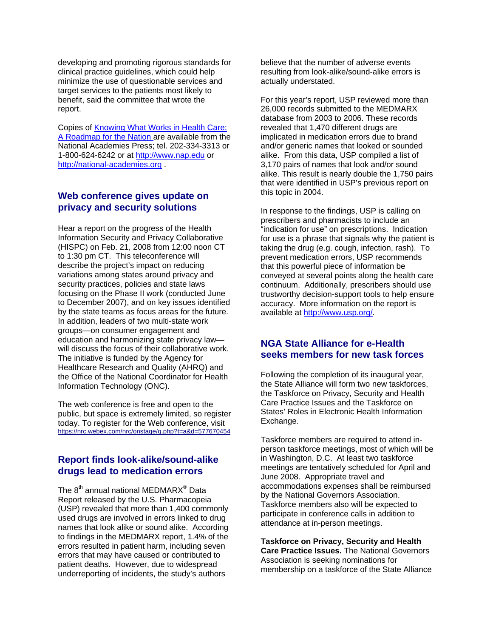developing and promoting rigorous standards for clinical practice guidelines, which could help minimize the use of questionable services and target services to the patients most likely to benefit, said the committee that wrote the report.

Copies of [Knowing What Works in Health Care:](http://www.nap.edu/catalog.php?record_id=12038)  [A Roadmap for the Nation](http://www.nap.edu/catalog.php?record_id=12038) are available from the National Academies Press; tel. 202-334-3313 or 1-800-624-6242 or at [http://www.nap.edu](http://www.nap.edu/) or [http://national-academies.org](http://national-academies.org/) .

#### **Web conference gives update on privacy and security solutions**

Hear a report on the progress of the Health Information Security and Privacy Collaborative (HISPC) on Feb. 21, 2008 from 12:00 noon CT to 1:30 pm CT. This teleconference will describe the project's impact on reducing variations among states around privacy and security practices, policies and state laws focusing on the Phase II work (conducted June to December 2007), and on key issues identified by the state teams as focus areas for the future. In addition, leaders of two multi-state work groups—on consumer engagement and education and harmonizing state privacy law will discuss the focus of their collaborative work. The initiative is funded by the Agency for Healthcare Research and Quality (AHRQ) and the Office of the National Coordinator for Health Information Technology (ONC).

The web conference is free and open to the public, but space is extremely limited, so register today. To register for the Web conference, visit <https://nrc.webex.com/nrc/onstage/g.php?t=a&d=577670454>

#### **Report finds look-alike/sound-alike drugs lead to medication errors**

The 8<sup>th</sup> annual national MEDMARX® Data Report released by the U.S. Pharmacopeia (USP) revealed that more than 1,400 commonly used drugs are involved in errors linked to drug names that look alike or sound alike. According to findings in the MEDMARX report, 1.4% of the errors resulted in patient harm, including seven errors that may have caused or contributed to patient deaths. However, due to widespread underreporting of incidents, the study's authors

believe that the number of adverse events resulting from look-alike/sound-alike errors is actually understated.

For this year's report, USP reviewed more than 26,000 records submitted to the MEDMARX database from 2003 to 2006. These records revealed that 1,470 different drugs are implicated in medication errors due to brand and/or generic names that looked or sounded alike. From this data, USP compiled a list of 3,170 pairs of names that look and/or sound alike. This result is nearly double the 1,750 pairs that were identified in USP's previous report on this topic in 2004.

In response to the findings, USP is calling on prescribers and pharmacists to include an "indication for use" on prescriptions. Indication for use is a phrase that signals why the patient is taking the drug (e.g. cough, infection, rash). To prevent medication errors, USP recommends that this powerful piece of information be conveyed at several points along the health care continuum. Additionally, prescribers should use trustworthy decision-support tools to help ensure accuracy. More information on the report is available at [http://www.usp.org/.](http://www.usp.org/)

#### **NGA State Alliance for e-Health seeks members for new task forces**

Following the completion of its inaugural year, the State Alliance will form two new taskforces, the Taskforce on Privacy, Security and Health Care Practice Issues and the Taskforce on States' Roles in Electronic Health Information Exchange.

Taskforce members are required to attend inperson taskforce meetings, most of which will be in Washington, D.C. At least two taskforce meetings are tentatively scheduled for April and June 2008. Appropriate travel and accommodations expenses shall be reimbursed by the National Governors Association. Taskforce members also will be expected to participate in conference calls in addition to attendance at in-person meetings.

**Taskforce on Privacy, Security and Health Care Practice Issues.** The National Governors Association is seeking nominations for membership on a taskforce of the State Alliance